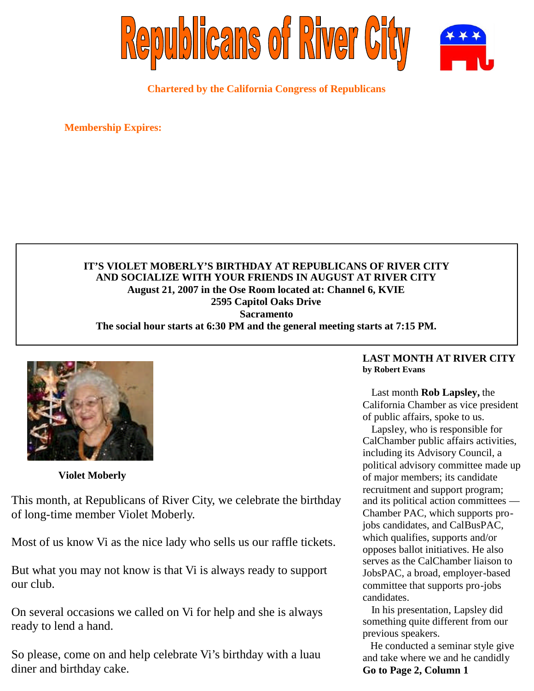

**Chartered by the California Congress of Republicans**

**Membership Expires:**

# **IT'S VIOLET MOBERLY'S BIRTHDAY AT REPUBLICANS OF RIVER CITY AND SOCIALIZE WITH YOUR FRIENDS IN AUGUST AT RIVER CITY August 21, 2007 in the Ose Room located at: Channel 6, KVIE 2595 Capitol Oaks Drive Sacramento The social hour starts at 6:30 PM and the general meeting starts at 7:15 PM.**



**Violet Moberly**

This month, at Republicans of River City, we celebrate the birthday of long-time member Violet Moberly.

Most of us know Vi as the nice lady who sells us our raffle tickets.

But what you may not know is that Vi is always ready to support our club.

On several occasions we called on Vi for help and she is always ready to lend a hand.

So please, come on and help celebrate Vi's birthday with a luau diner and birthday cake.

### **LAST MONTH AT RIVER CITY by Robert Evans**

Last month **Rob Lapsley,** the California Chamber as vice president of public affairs, spoke to us.

Lapsley, who is responsible for CalChamber public affairs activities, including its Advisory Council, a political advisory committee made up of major members; its candidate recruitment and support program; and its political action committees — Chamber PAC, which supports projobs candidates, and CalBusPAC, which qualifies, supports and/or opposes ballot initiatives. He also serves as the CalChamber liaison to JobsPAC, a broad, employer-based committee that supports pro-jobs candidates.

In his presentation, Lapsley did something quite different from our previous speakers.

He conducted a seminar style give and take where we and he candidly **Go to Page 2, Column 1**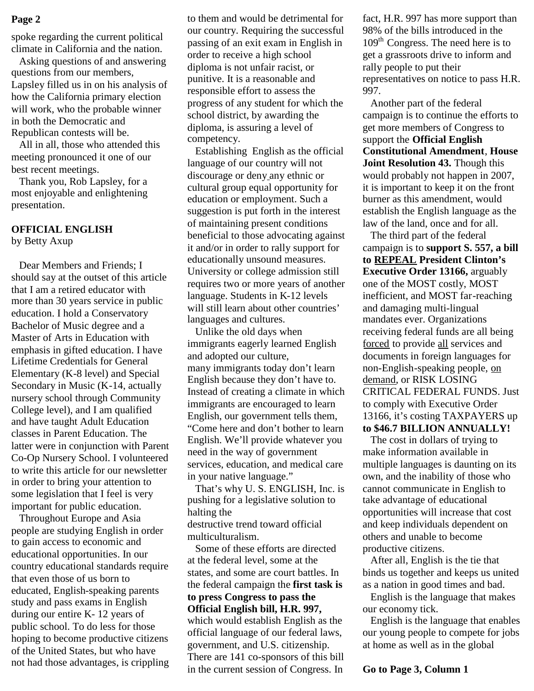spoke regarding the current political climate in California and the nation.

Asking questions of and answering questions from our members, Lapsley filled us in on his analysis of how the California primary election will work, who the probable winner in both the Democratic and Republican contests will be.

All in all, those who attended this meeting pronounced it one of our best recent meetings.

Thank you, Rob Lapsley, for a most enjoyable and enlightening presentation.

#### **OFFICIAL ENGLISH** by Betty Axup

Dear Members and Friends; I should say at the outset of this article that I am a retired educator with more than 30 years service in public education. I hold a Conservatory Bachelor of Music degree and a Master of Arts in Education with emphasis in gifted education. I have Lifetime Credentials for General Elementary (K-8 level) and Special Secondary in Music (K-14, actually nursery school through Community College level), and I am qualified and have taught Adult Education classes in Parent Education. The latter were in conjunction with Parent Co-Op Nursery School. I volunteered to write this article for our newsletter in order to bring your attention to some legislation that I feel is very important for public education.

Throughout Europe and Asia people are studying English in order to gain access to economic and educational opportunities. In our country educational standards require that even those of us born to educated, English-speaking parents study and pass exams in English during our entire K- 12 years of public school. To do less for those hoping to become productive citizens of the United States, but who have not had those advantages, is crippling

to them and would be detrimental for our country. Requiring the successful passing of an exit exam in English in order to receive a high school diploma is not unfair racist, or punitive. It is a reasonable and responsible effort to assess the progress of any student for which the school district, by awarding the diploma, is assuring a level of competency. **Page 2** for them and would be detrimental for fact, H.R. 997 has more support than

> Establishing English as the official language of our country will not discourage or deny any ethnic or cultural group equal opportunity for education or employment. Such a suggestion is put forth in the interest of maintaining present conditions beneficial to those advocating against it and/or in order to rally support for educationally unsound measures. University or college admission still requires two or more years of another language. Students in K-12 levels will still learn about other countries' languages and cultures.

> Unlike the old days when immigrants eagerly learned English and adopted our culture, many immigrants today don't learn English because they don't have to. Instead of creating a climate in which immigrants are encouraged to learn English, our government tells them, "Come here and don't bother to learn English. We'll provide whatever you need in the way of government services, education, and medical care in your native language."

> That's why U. S. ENGLISH, Inc. is pushing for a legislative solution to halting the

destructive trend toward official multiculturalism.

Some of these efforts are directed at the federal level, some at the states, and some are court battles. In the federal campaign the **first task is to press Congress to pass the Official English bill, H.R. 997,** which would establish English as the official language of our federal laws, government, and U.S. citizenship.

There are 141 co-sponsors of this bill in the current session of Congress. In

98% of the bills introduced in the  $109<sup>th</sup>$  Congress. The need here is to get a grassroots drive to inform and rally people to put their representatives on notice to pass H.R. 997.

Another part of the federal campaign is to continue the efforts to get more members of Congress to support the **Official English Constitutional Amendment**, **House Joint Resolution 43.** Though this would probably not happen in 2007, it is important to keep it on the front burner as this amendment, would establish the English language as the law of the land, once and for all.

The third part of the federal campaign is to **support S. 557, a bill to REPEAL President Clinton's Executive Order 13166,** arguably one of the MOST costly, MOST inefficient, and MOST far-reaching and damaging multi-lingual mandates ever. Organizations receiving federal funds are all being forced to provide all services and documents in foreign languages for non-English-speaking people, on demand, or RISK LOSING CRITICAL FEDERAL FUNDS. Just to comply with Executive Order 13166, it's costing TAXPAYERS up **to \$46.7 BILLION ANNUALLY!**

The cost in dollars of trying to make information available in multiple languages is daunting on its own, and the inability of those who cannot communicate in English to take advantage of educational opportunities will increase that cost and keep individuals dependent on others and unable to become productive citizens.

After all, English is the tie that binds us together and keeps us united as a nation in good times and bad.

English is the language that makes our economy tick.

English is the language that enables our young people to compete for jobs at home as well as in the global

**Go to Page 3, Column 1**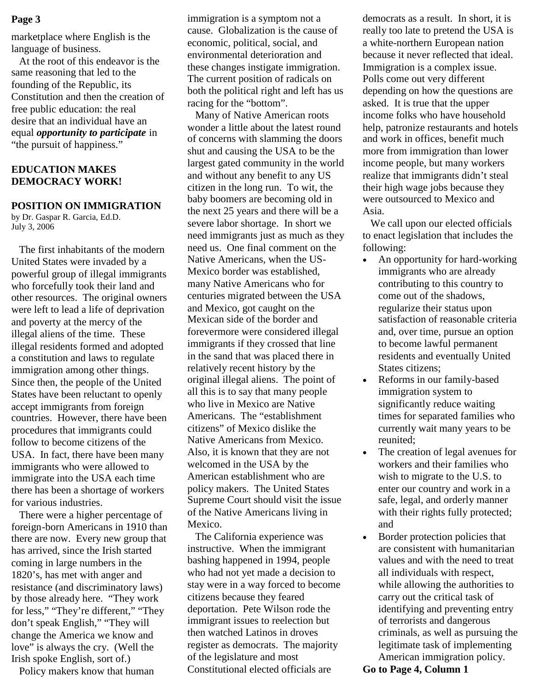marketplace where English is the language of business.

At the root of this endeavor is the same reasoning that led to the founding of the Republic, its Constitution and then the creation of free public education: the real desire that an individual have an equal *opportunity to participate* in "the pursuit of happiness."

# **EDUCATION MAKES DEMOCRACY WORK!**

### **POSITION ON IMMIGRATION**

by Dr. Gaspar R. Garcia, Ed.D. July 3, 2006

The first inhabitants of the modern United States were invaded by a powerful group of illegal immigrants who forcefully took their land and other resources. The original owners were left to lead a life of deprivation and poverty at the mercy of the illegal aliens of the time. These illegal residents formed and adopted a constitution and laws to regulate immigration among other things. Since then, the people of the United States have been reluctant to openly accept immigrants from foreign countries. However, there have been procedures that immigrants could follow to become citizens of the USA. In fact, there have been many immigrants who were allowed to immigrate into the USA each time there has been a shortage of workers for various industries.

There were a higher percentage of foreign-born Americans in 1910 than there are now. Every new group that has arrived, since the Irish started coming in large numbers in the 1820's, has met with anger and resistance (and discriminatory laws) by those already here. "They work for less," "They're different," "They don't speak English," "They will change the America we know and love" is always the cry. (Well the Irish spoke English, sort of.)

Policy makers know that human

immigration is a symptom not a cause. Globalization is the cause of economic, political, social, and environmental deterioration and these changes instigate immigration. The current position of radicals on both the political right and left has us racing for the "bottom". **Page 3** immigration is a symptom not a democrats as a result. In short, it is

Many of Native American roots wonder a little about the latest round of concerns with slamming the doors shut and causing the USA to be the largest gated community in the world and without any benefit to any US citizen in the long run. To wit, the baby boomers are becoming old in the next 25 years and there will be a severe labor shortage. In short we need immigrants just as much as they need us. One final comment on the Native Americans, when the US-Mexico border was established, many Native Americans who for centuries migrated between the USA and Mexico, got caught on the Mexican side of the border and forevermore were considered illegal immigrants if they crossed that line in the sand that was placed there in relatively recent history by the original illegal aliens. The point of all this is to say that many people who live in Mexico are Native Americans. The "establishment citizens" of Mexico dislike the Native Americans from Mexico. Also, it is known that they are not welcomed in the USA by the American establishment who are policy makers. The United States Supreme Court should visit the issue of the Native Americans living in Mexico.

The California experience was instructive. When the immigrant bashing happened in 1994, people who had not yet made a decision to stay were in a way forced to become citizens because they feared deportation. Pete Wilson rode the immigrant issues to reelection but then watched Latinos in droves register as democrats. The majority of the legislature and most Constitutional elected officials are

really too late to pretend the USA is a white-northern European nation because it never reflected that ideal. Immigration is a complex issue. Polls come out very different depending on how the questions are asked. It is true that the upper income folks who have household help, patronize restaurants and hotels and work in offices, benefit much more from immigration than lower income people, but many workers realize that immigrants didn't steal their high wage jobs because they were outsourced to Mexico and Asia.

We call upon our elected officials to enact legislation that includes the following:

- An opportunity for hard-working immigrants who are already contributing to this country to come out of the shadows, regularize their status upon satisfaction of reasonable criteria and, over time, pursue an option to become lawful permanent residents and eventually United States citizens;
- Reforms in our family-based immigration system to significantly reduce waiting times for separated families who currently wait many years to be reunited;
- The creation of legal avenues for workers and their families who wish to migrate to the U.S. to enter our country and work in a safe, legal, and orderly manner with their rights fully protected; and
- Border protection policies that are consistent with humanitarian values and with the need to treat all individuals with respect, while allowing the authorities to carry out the critical task of identifying and preventing entry of terrorists and dangerous criminals, as well as pursuing the legitimate task of implementing American immigration policy.

### **Go to Page 4, Column 1**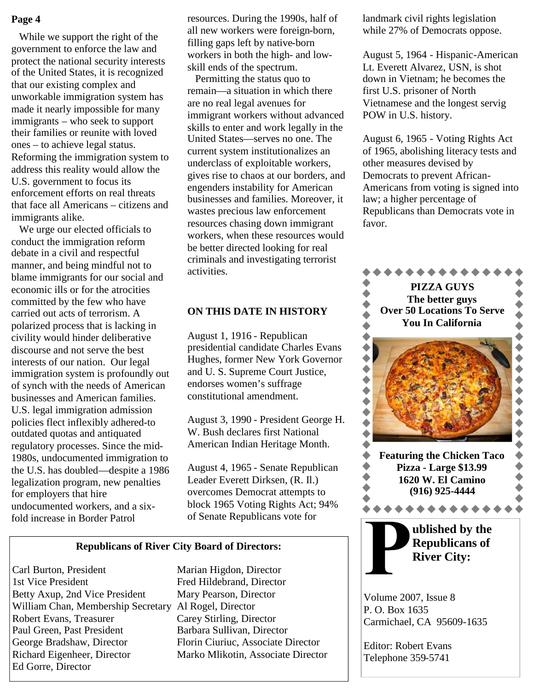### **Page 4**

While we support the right of the government to enforce the law and protect the national security interests of the United States, it is recognized that our existing complex and unworkable immigration system has made it nearly impossible for many immigrants – who seek to support their families or reunite with loved ones – to achieve legal status. Reforming the immigration system to address this reality would allow the U.S. government to focus its enforcement efforts on real threats that face all Americans – citizens and immigrants alike.

We urge our elected officials to conduct the immigration reform debate in a civil and respectful manner, and being mindful not to blame immigrants for our social and economic ills or for the atrocities committed by the few who have carried out acts of terrorism. A polarized process that is lacking in civility would hinder deliberative discourse and not serve the best interests of our nation. Our legal immigration system is profoundly out of synch with the needs of American businesses and American families. U.S. legal immigration admission policies flect inflexibly adhered-to outdated quotas and antiquated regulatory processes. Since the mid-1980s, undocumented immigration to the U.S. has doubled—despite a 1986 legalization program, new penalties for employers that hire undocumented workers, and a sixfold increase in Border Patrol

resources. During the 1990s, half of all new workers were foreign-born, filling gaps left by native-born workers in both the high- and lowskill ends of the spectrum.

Permitting the status quo to remain—a situation in which there are no real legal avenues for immigrant workers without advanced skills to enter and work legally in the United States—serves no one. The current system institutionalizes an underclass of exploitable workers, gives rise to chaos at our borders, and engenders instability for American businesses and families. Moreover, it wastes precious law enforcement resources chasing down immigrant workers, when these resources would be better directed looking for real criminals and investigating terrorist activities.

### **ON THIS DATE IN HISTORY**

August 1, 1916 - Republican presidential candidate Charles Evans Hughes, former New York Governor and U. S. Supreme Court Justice, endorses women's suffrage constitutional amendment.

August 3, 1990 - President George H. W. Bush declares first National American Indian Heritage Month.

August 4, 1965 - Senate Republican Leader Everett Dirksen, (R. Il.) overcomes Democrat attempts to block 1965 Voting Rights Act; 94% of Senate Republicans vote for

#### **Republicans of River City Board of Directors:**

Carl Burton, President Marian Higdon, Director 1st Vice President Fred Hildebrand, Director Betty Axup, 2nd Vice President Mary Pearson, Director William Chan, Membership Secretary Al Rogel, Director Robert Evans, Treasurer Carey Stirling, Director Paul Green, Past President Barbara Sullivan, Director George Bradshaw, Director Florin Ciuriuc, Associate Director Richard Eigenheer, Director Marko Mlikotin, Associate Director Ed Gorre, Director

landmark civil rights legislation while 27% of Democrats oppose.

August 5, 1964 - Hispanic-American Lt. Everett Alvarez, USN, is shot down in Vietnam; he becomes the first U.S. prisoner of North Vietnamese and the longest servig POW in U.S. history.

August 6, 1965 - Voting Rights Act of 1965, abolishing literacy tests and other measures devised by Democrats to prevent African-Americans from voting is signed into law; a higher percentage of Republicans than Democrats vote in favor.



Volume 2007, Issue 8 P. O. Box 1635 Carmichael, CA 95609-1635

Editor: Robert Evans Telephone 359-5741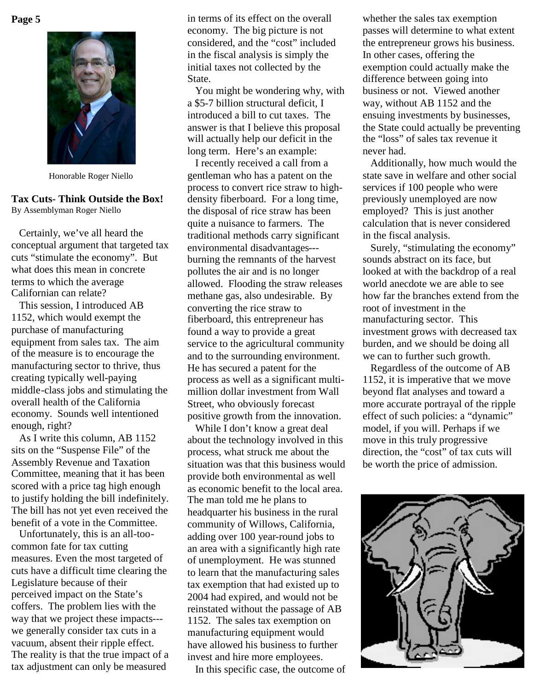**Page 5**



Honorable Roger Niello

#### **Tax Cuts- Think Outside the Box!** By Assemblyman Roger Niello

Certainly, we've all heard the conceptual argument that targeted tax cuts "stimulate the economy". But what does this mean in concrete terms to which the average Californian can relate?

This session, I introduced AB 1152, which would exempt the purchase of manufacturing equipment from sales tax. The aim of the measure is to encourage the manufacturing sector to thrive, thus creating typically well-paying middle-class jobs and stimulating the overall health of the California economy. Sounds well intentioned enough, right?

As I write this column, AB 1152 sits on the "Suspense File" of the Assembly Revenue and Taxation Committee, meaning that it has been scored with a price tag high enough to justify holding the bill indefinitely. The bill has not yet even received the benefit of a vote in the Committee.

Unfortunately, this is an all-toocommon fate for tax cutting measures. Even the most targeted of cuts have a difficult time clearing the Legislature because of their perceived impact on the State's coffers. The problem lies with the way that we project these impacts-- we generally consider tax cuts in a vacuum, absent their ripple effect. The reality is that the true impact of a tax adjustment can only be measured

in terms of its effect on the overall economy. The big picture is not considered, and the "cost" included in the fiscal analysis is simply the initial taxes not collected by the State.

You might be wondering why, with a \$5-7 billion structural deficit, I introduced a bill to cut taxes. The answer is that I believe this proposal will actually help our deficit in the long term. Here's an example:

I recently received a call from a gentleman who has a patent on the process to convert rice straw to highdensity fiberboard. For a long time, the disposal of rice straw has been quite a nuisance to farmers. The traditional methods carry significant environmental disadvantages-- burning the remnants of the harvest pollutes the air and is no longer allowed. Flooding the straw releases methane gas, also undesirable. By converting the rice straw to fiberboard, this entrepreneur has found a way to provide a great service to the agricultural community and to the surrounding environment. He has secured a patent for the process as well as a significant multimillion dollar investment from Wall Street, who obviously forecast positive growth from the innovation.

While I don't know a great deal about the technology involved in this process, what struck me about the situation was that this business would provide both environmental as well as economic benefit to the local area. The man told me he plans to headquarter his business in the rural community of Willows, California, adding over 100 year-round jobs to an area with a significantly high rate of unemployment. He was stunned to learn that the manufacturing sales tax exemption that had existed up to 2004 had expired, and would not be reinstated without the passage of AB 1152. The sales tax exemption on manufacturing equipment would have allowed his business to further invest and hire more employees.

In this specific case, the outcome of

whether the sales tax exemption passes will determine to what extent the entrepreneur grows his business. In other cases, offering the exemption could actually make the difference between going into business or not. Viewed another way, without AB 1152 and the ensuing investments by businesses, the State could actually be preventing the "loss" of sales tax revenue it never had.

Additionally, how much would the state save in welfare and other social services if 100 people who were previously unemployed are now employed? This is just another calculation that is never considered in the fiscal analysis.

Surely, "stimulating the economy" sounds abstract on its face, but looked at with the backdrop of a real world anecdote we are able to see how far the branches extend from the root of investment in the manufacturing sector. This investment grows with decreased tax burden, and we should be doing all we can to further such growth.

Regardless of the outcome of AB 1152, it is imperative that we move beyond flat analyses and toward a more accurate portrayal of the ripple effect of such policies: a "dynamic" model, if you will. Perhaps if we move in this truly progressive direction, the "cost" of tax cuts will be worth the price of admission.